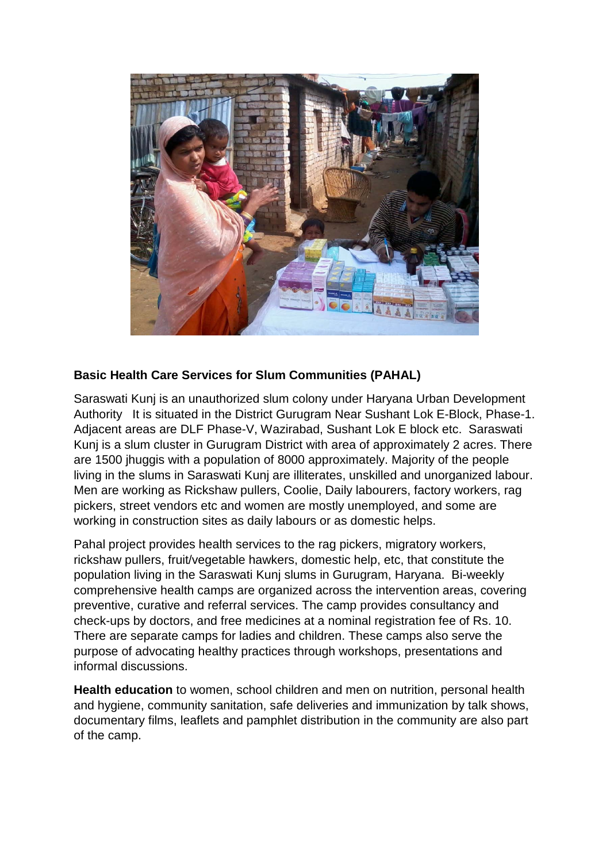

## **Basic Health Care Services for Slum Communities (PAHAL)**

Saraswati Kunj is an unauthorized slum colony under Haryana Urban Development Authority It is situated in the District Gurugram Near Sushant Lok E-Block, Phase-1. Adjacent areas are DLF Phase-V, Wazirabad, Sushant Lok E block etc. Saraswati Kunj is a slum cluster in Gurugram District with area of approximately 2 acres. There are 1500 jhuggis with a population of 8000 approximately. Majority of the people living in the slums in Saraswati Kunj are illiterates, unskilled and unorganized labour. Men are working as Rickshaw pullers, Coolie, Daily labourers, factory workers, rag pickers, street vendors etc and women are mostly unemployed, and some are working in construction sites as daily labours or as domestic helps.

Pahal project provides health services to the rag pickers, migratory workers, rickshaw pullers, fruit/vegetable hawkers, domestic help, etc, that constitute the population living in the Saraswati Kunj slums in Gurugram, Haryana. Bi-weekly comprehensive health camps are organized across the intervention areas, covering preventive, curative and referral services. The camp provides consultancy and check-ups by doctors, and free medicines at a nominal registration fee of Rs. 10. There are separate camps for ladies and children. These camps also serve the purpose of advocating healthy practices through workshops, presentations and informal discussions.

**Health education** to women, school children and men on nutrition, personal health and hygiene, community sanitation, safe deliveries and immunization by talk shows, documentary films, leaflets and pamphlet distribution in the community are also part of the camp.